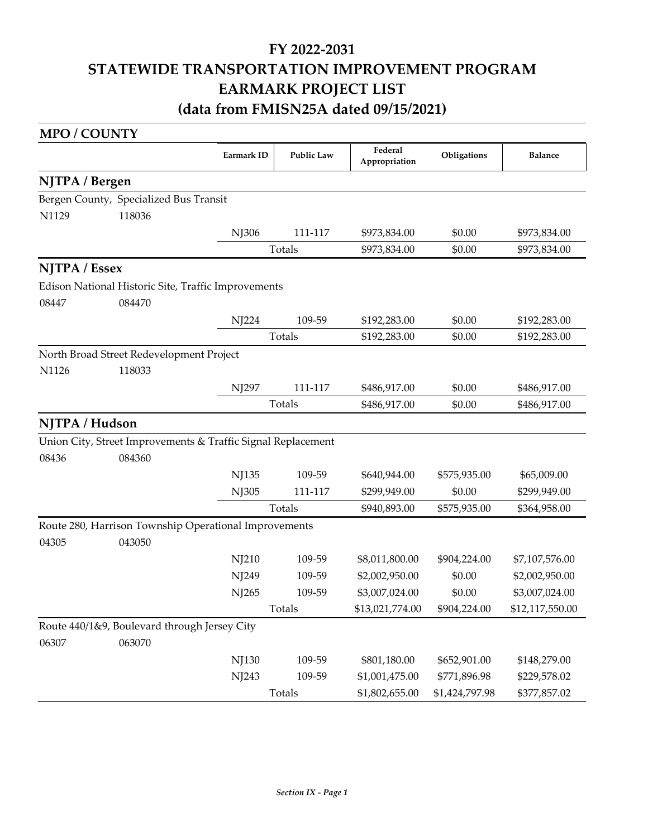# **FY 2022‐2031 STATEWIDE TRANSPORTATION IMPROVEMENT PROGRAM EARMARK PROJECT LIST (data from FMISN25A dated 09/15/2021)**

#### **MPO / COUNTY**

|                |                                                              | Earmark ID | <b>Public Law</b> | Federal<br>Appropriation | Obligations    | <b>Balance</b>  |
|----------------|--------------------------------------------------------------|------------|-------------------|--------------------------|----------------|-----------------|
| NJTPA / Bergen |                                                              |            |                   |                          |                |                 |
|                | Bergen County, Specialized Bus Transit                       |            |                   |                          |                |                 |
| N1129          | 118036                                                       |            |                   |                          |                |                 |
|                |                                                              | NJ306      | 111-117           | \$973,834.00             | \$0.00         | \$973,834.00    |
|                |                                                              |            | Totals            | \$973,834.00             | \$0.00         | \$973,834.00    |
| NJTPA / Essex  |                                                              |            |                   |                          |                |                 |
|                | Edison National Historic Site, Traffic Improvements          |            |                   |                          |                |                 |
| 08447          | 084470                                                       |            |                   |                          |                |                 |
|                |                                                              | NJ224      | 109-59            | \$192,283.00             | \$0.00         | \$192,283.00    |
|                |                                                              |            | Totals            |                          | \$0.00         | \$192,283.00    |
|                | North Broad Street Redevelopment Project                     |            |                   |                          |                |                 |
| N1126          | 118033                                                       |            |                   |                          |                |                 |
|                |                                                              | NJ297      | 111-117           | \$486,917.00             | \$0.00         | \$486,917.00    |
|                |                                                              |            | Totals            | \$486,917.00             | \$0.00         | \$486,917.00    |
| NJTPA / Hudson |                                                              |            |                   |                          |                |                 |
|                | Union City, Street Improvements & Traffic Signal Replacement |            |                   |                          |                |                 |
| 08436          | 084360                                                       |            |                   |                          |                |                 |
|                |                                                              | NJ135      | 109-59            | \$640,944.00             | \$575,935.00   | \$65,009.00     |
|                |                                                              | NJ305      | 111-117           | \$299,949.00             | \$0.00         | \$299,949.00    |
|                |                                                              |            | Totals            | \$940,893.00             | \$575,935.00   | \$364,958.00    |
|                | Route 280, Harrison Township Operational Improvements        |            |                   |                          |                |                 |
| 04305          | 043050                                                       |            |                   |                          |                |                 |
|                |                                                              | NJ210      | 109-59            | \$8,011,800.00           | \$904,224.00   | \$7,107,576.00  |
|                |                                                              | NJ249      | 109-59            | \$2,002,950.00           | \$0.00         | \$2,002,950.00  |
|                |                                                              | NJ265      | 109-59            | \$3,007,024.00           | \$0.00         | \$3,007,024.00  |
|                |                                                              |            | <b>Totals</b>     | \$13,021,774.00          | \$904,224.00   | \$12,117,550.00 |
|                | Route 440/1&9, Boulevard through Jersey City                 |            |                   |                          |                |                 |
| 06307          | 063070                                                       |            |                   |                          |                |                 |
|                |                                                              | NJ130      | 109-59            | \$801,180.00             | \$652,901.00   | \$148,279.00    |
|                |                                                              | NJ243      | 109-59            | \$1,001,475.00           | \$771,896.98   | \$229,578.02    |
|                |                                                              |            | Totals            | \$1,802,655.00           | \$1,424,797.98 | \$377,857.02    |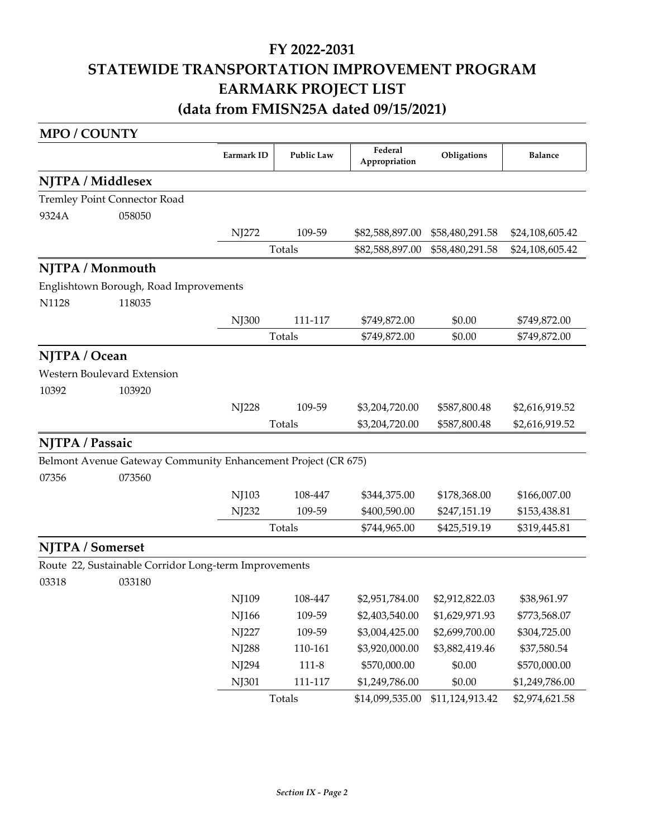### **FY 2022‐2031 STATEWIDE TRANSPORTATION IMPROVEMENT PROGRAM EARMARK PROJECT LIST (data from FMISN25A dated 09/15/2021)**

### **Earmark ID Federal Appropriation Publications Balance MPO / COUNTY NJTPA / Middlesex** 9324A Tremley Point Connector Road 058050 NJ272 109-59 \$82,588,897.00 \$58,480,291.58 \$24,108,605.42 Totals \$82,588,897.00 \$58,480,291.58 \$24,108,605.42 **NJTPA / Monmouth** N1128 Englishtown Borough, Road Improvements 118035 NJ300 111-117 \$749,872.00 \$0.00 \$749,872.00 Totals  $$749,872.00$   $$0.00$   $$749,872.00$ **NJTPA / Ocean** 10392 Western Boulevard Extension 103920 NJ228 109-59 \$3,204,720.00 \$587,800.48 \$2,616,919.52 Totals \$3,204,720.00 \$587,800.48 \$2,616,919.52 **NJTPA / Passaic** 07356 Belmont Avenue Gateway Community Enhancement Project (CR 675) 073560 NJ103 108-447 \$344,375.00 \$178,368.00 \$166,007.00 NJ232 109-59 \$400,590.00 \$247,151.19 \$153,438.81 Totals \$744,965.00 \$425,519.19 \$319,445.81 **NJTPA / Somerset** 03318 Route 22, Sustainable Corridor Long‐term Improvements 033180 NJ109 108-447 \$2,951,784.00 \$2,912,822.03 \$38,961.97 NJ166 109-59 \$2,403,540.00 \$1,629,971.93 \$773,568.07 NJ227 109-59 \$3,004,425.00 \$2,699,700.00 \$304,725.00 NJ288 110-161 \$3,920,000.00 \$3,882,419.46 \$37,580.54 NJ294 111-8 \$570,000.00 \$0.00 \$570,000.00 NJ301 111-117 \$1,249,786.00 \$0.00 \$1,249,786.00 Totals \$14,099,535.00 \$11,124,913.42 \$2,974,621.58